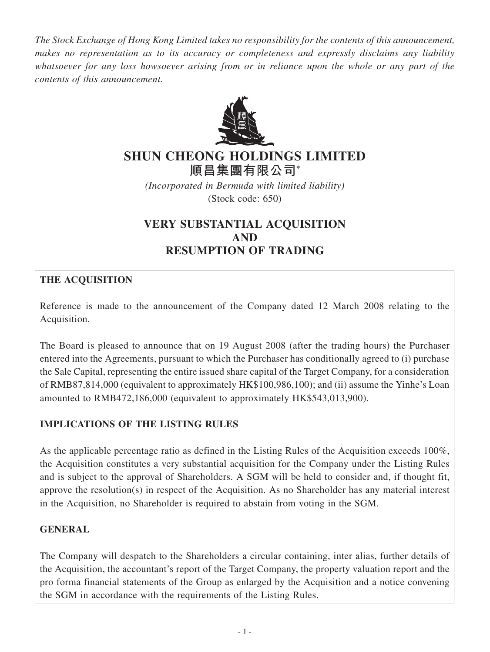*The Stock Exchange of Hong Kong Limited takes no responsibility for the contents of this announcement, makes no representation as to its accuracy or completeness and expressly disclaims any liability whatsoever for any loss howsoever arising from or in reliance upon the whole or any part of the contents of this announcement.*



# **SHUN CHEONG HOLDINGS LIMITED**

**順昌集團有限公司\***

*(Incorporated in Bermuda with limited liability)* (Stock code: 650)

# **VERY SUBSTANTIAL ACQUISITION AND RESUMPTION OF TRADING**

# **THE ACQUISITION**

Reference is made to the announcement of the Company dated 12 March 2008 relating to the Acquisition.

The Board is pleased to announce that on 19 August 2008 (after the trading hours) the Purchaser entered into the Agreements, pursuant to which the Purchaser has conditionally agreed to (i) purchase the Sale Capital, representing the entire issued share capital of the Target Company, for a consideration of RMB87,814,000 (equivalent to approximately HK\$100,986,100); and (ii) assume the Yinhe's Loan amounted to RMB472,186,000 (equivalent to approximately HK\$543,013,900).

# **IMPLICATIONS OF THE LISTING RULES**

As the applicable percentage ratio as defined in the Listing Rules of the Acquisition exceeds 100%, the Acquisition constitutes a very substantial acquisition for the Company under the Listing Rules and is subject to the approval of Shareholders. A SGM will be held to consider and, if thought fit, approve the resolution(s) in respect of the Acquisition. As no Shareholder has any material interest in the Acquisition, no Shareholder is required to abstain from voting in the SGM.

# **GENERAL**

The Company will despatch to the Shareholders a circular containing, inter alias, further details of the Acquisition, the accountant's report of the Target Company, the property valuation report and the pro forma financial statements of the Group as enlarged by the Acquisition and a notice convening the SGM in accordance with the requirements of the Listing Rules.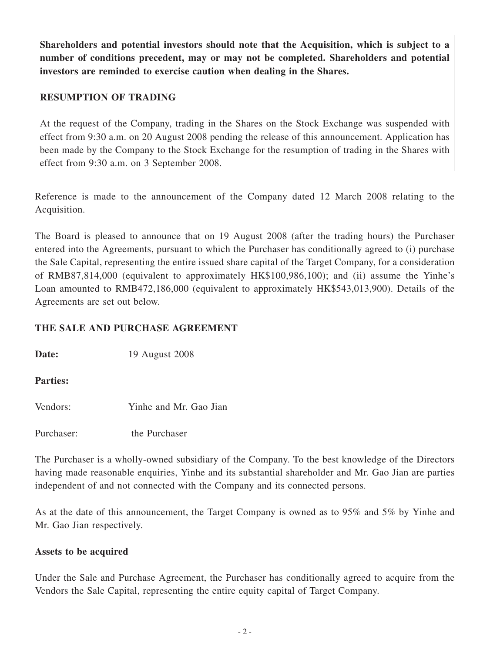**Shareholders and potential investors should note that the Acquisition, which is subject to a number of conditions precedent, may or may not be completed. Shareholders and potential investors are reminded to exercise caution when dealing in the Shares.**

## **RESUMPTION OF TRADING**

At the request of the Company, trading in the Shares on the Stock Exchange was suspended with effect from 9:30 a.m. on 20 August 2008 pending the release of this announcement. Application has been made by the Company to the Stock Exchange for the resumption of trading in the Shares with effect from 9:30 a.m. on 3 September 2008.

Reference is made to the announcement of the Company dated 12 March 2008 relating to the Acquisition.

The Board is pleased to announce that on 19 August 2008 (after the trading hours) the Purchaser entered into the Agreements, pursuant to which the Purchaser has conditionally agreed to (i) purchase the Sale Capital, representing the entire issued share capital of the Target Company, for a consideration of RMB87,814,000 (equivalent to approximately HK\$100,986,100); and (ii) assume the Yinhe's Loan amounted to RMB472,186,000 (equivalent to approximately HK\$543,013,900). Details of the Agreements are set out below.

## **THE SALE AND PURCHASE AGREEMENT**

**Date:** 19 August 2008

### **Parties:**

Vendors: Yinhe and Mr. Gao Jian

Purchaser: the Purchaser

The Purchaser is a wholly-owned subsidiary of the Company. To the best knowledge of the Directors having made reasonable enquiries, Yinhe and its substantial shareholder and Mr. Gao Jian are parties independent of and not connected with the Company and its connected persons.

As at the date of this announcement, the Target Company is owned as to 95% and 5% by Yinhe and Mr. Gao Jian respectively.

### **Assets to be acquired**

Under the Sale and Purchase Agreement, the Purchaser has conditionally agreed to acquire from the Vendors the Sale Capital, representing the entire equity capital of Target Company.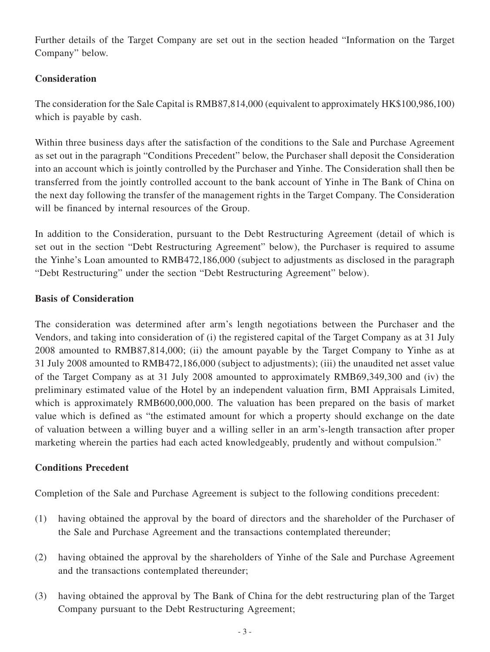Further details of the Target Company are set out in the section headed "Information on the Target Company" below.

## **Consideration**

The consideration for the Sale Capital is RMB87,814,000 (equivalent to approximately HK\$100,986,100) which is payable by cash.

Within three business days after the satisfaction of the conditions to the Sale and Purchase Agreement as set out in the paragraph "Conditions Precedent" below, the Purchaser shall deposit the Consideration into an account which is jointly controlled by the Purchaser and Yinhe. The Consideration shall then be transferred from the jointly controlled account to the bank account of Yinhe in The Bank of China on the next day following the transfer of the management rights in the Target Company. The Consideration will be financed by internal resources of the Group.

In addition to the Consideration, pursuant to the Debt Restructuring Agreement (detail of which is set out in the section "Debt Restructuring Agreement" below), the Purchaser is required to assume the Yinhe's Loan amounted to RMB472,186,000 (subject to adjustments as disclosed in the paragraph "Debt Restructuring" under the section "Debt Restructuring Agreement" below).

## **Basis of Consideration**

The consideration was determined after arm's length negotiations between the Purchaser and the Vendors, and taking into consideration of (i) the registered capital of the Target Company as at 31 July 2008 amounted to RMB87,814,000; (ii) the amount payable by the Target Company to Yinhe as at 31 July 2008 amounted to RMB472,186,000 (subject to adjustments); (iii) the unaudited net asset value of the Target Company as at 31 July 2008 amounted to approximately RMB69,349,300 and (iv) the preliminary estimated value of the Hotel by an independent valuation firm, BMI Appraisals Limited, which is approximately RMB600,000,000. The valuation has been prepared on the basis of market value which is defined as "the estimated amount for which a property should exchange on the date of valuation between a willing buyer and a willing seller in an arm's-length transaction after proper marketing wherein the parties had each acted knowledgeably, prudently and without compulsion."

### **Conditions Precedent**

Completion of the Sale and Purchase Agreement is subject to the following conditions precedent:

- (1) having obtained the approval by the board of directors and the shareholder of the Purchaser of the Sale and Purchase Agreement and the transactions contemplated thereunder;
- (2) having obtained the approval by the shareholders of Yinhe of the Sale and Purchase Agreement and the transactions contemplated thereunder;
- (3) having obtained the approval by The Bank of China for the debt restructuring plan of the Target Company pursuant to the Debt Restructuring Agreement;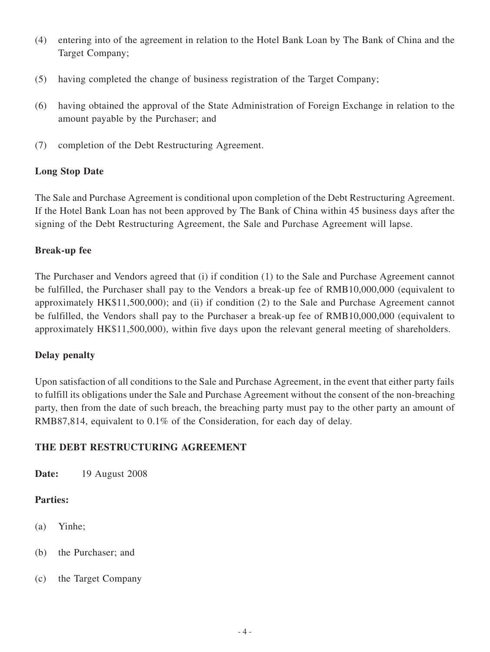- (4) entering into of the agreement in relation to the Hotel Bank Loan by The Bank of China and the Target Company;
- (5) having completed the change of business registration of the Target Company;
- (6) having obtained the approval of the State Administration of Foreign Exchange in relation to the amount payable by the Purchaser; and
- (7) completion of the Debt Restructuring Agreement.

## **Long Stop Date**

The Sale and Purchase Agreement is conditional upon completion of the Debt Restructuring Agreement. If the Hotel Bank Loan has not been approved by The Bank of China within 45 business days after the signing of the Debt Restructuring Agreement, the Sale and Purchase Agreement will lapse.

### **Break-up fee**

The Purchaser and Vendors agreed that (i) if condition (1) to the Sale and Purchase Agreement cannot be fulfilled, the Purchaser shall pay to the Vendors a break-up fee of RMB10,000,000 (equivalent to approximately HK\$11,500,000); and (ii) if condition (2) to the Sale and Purchase Agreement cannot be fulfilled, the Vendors shall pay to the Purchaser a break-up fee of RMB10,000,000 (equivalent to approximately HK\$11,500,000), within five days upon the relevant general meeting of shareholders.

### **Delay penalty**

Upon satisfaction of all conditions to the Sale and Purchase Agreement, in the event that either party fails to fulfill its obligations under the Sale and Purchase Agreement without the consent of the non-breaching party, then from the date of such breach, the breaching party must pay to the other party an amount of RMB87,814, equivalent to 0.1% of the Consideration, for each day of delay.

## **THE DEBT RESTRUCTURING AGREEMENT**

**Date:** 19 August 2008

### **Parties:**

- (a) Yinhe;
- (b) the Purchaser; and
- (c) the Target Company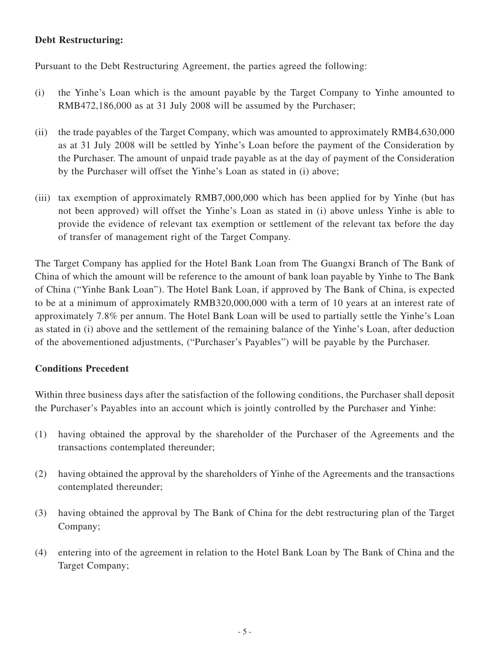### **Debt Restructuring:**

Pursuant to the Debt Restructuring Agreement, the parties agreed the following:

- (i) the Yinhe's Loan which is the amount payable by the Target Company to Yinhe amounted to RMB472,186,000 as at 31 July 2008 will be assumed by the Purchaser;
- (ii) the trade payables of the Target Company, which was amounted to approximately RMB4,630,000 as at 31 July 2008 will be settled by Yinhe's Loan before the payment of the Consideration by the Purchaser. The amount of unpaid trade payable as at the day of payment of the Consideration by the Purchaser will offset the Yinhe's Loan as stated in (i) above;
- (iii) tax exemption of approximately RMB7,000,000 which has been applied for by Yinhe (but has not been approved) will offset the Yinhe's Loan as stated in (i) above unless Yinhe is able to provide the evidence of relevant tax exemption or settlement of the relevant tax before the day of transfer of management right of the Target Company.

The Target Company has applied for the Hotel Bank Loan from The Guangxi Branch of The Bank of China of which the amount will be reference to the amount of bank loan payable by Yinhe to The Bank of China ("Yinhe Bank Loan"). The Hotel Bank Loan, if approved by The Bank of China, is expected to be at a minimum of approximately RMB320,000,000 with a term of 10 years at an interest rate of approximately 7.8% per annum. The Hotel Bank Loan will be used to partially settle the Yinhe's Loan as stated in (i) above and the settlement of the remaining balance of the Yinhe's Loan, after deduction of the abovementioned adjustments, ("Purchaser's Payables") will be payable by the Purchaser.

#### **Conditions Precedent**

Within three business days after the satisfaction of the following conditions, the Purchaser shall deposit the Purchaser's Payables into an account which is jointly controlled by the Purchaser and Yinhe:

- (1) having obtained the approval by the shareholder of the Purchaser of the Agreements and the transactions contemplated thereunder;
- (2) having obtained the approval by the shareholders of Yinhe of the Agreements and the transactions contemplated thereunder;
- (3) having obtained the approval by The Bank of China for the debt restructuring plan of the Target Company;
- (4) entering into of the agreement in relation to the Hotel Bank Loan by The Bank of China and the Target Company;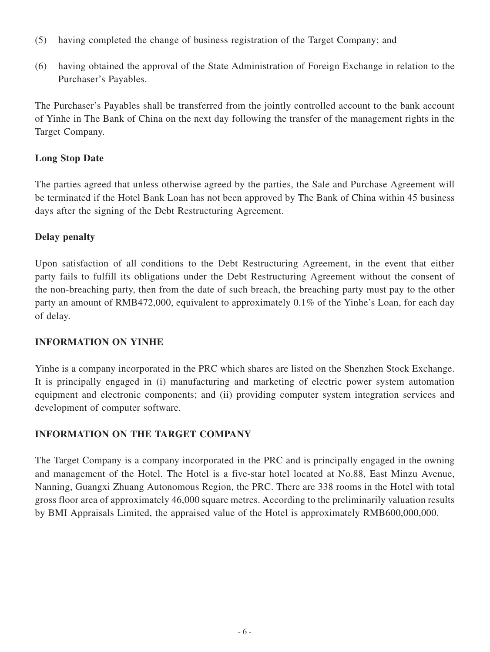- (5) having completed the change of business registration of the Target Company; and
- (6) having obtained the approval of the State Administration of Foreign Exchange in relation to the Purchaser's Payables.

The Purchaser's Payables shall be transferred from the jointly controlled account to the bank account of Yinhe in The Bank of China on the next day following the transfer of the management rights in the Target Company.

## **Long Stop Date**

The parties agreed that unless otherwise agreed by the parties, the Sale and Purchase Agreement will be terminated if the Hotel Bank Loan has not been approved by The Bank of China within 45 business days after the signing of the Debt Restructuring Agreement.

## **Delay penalty**

Upon satisfaction of all conditions to the Debt Restructuring Agreement, in the event that either party fails to fulfill its obligations under the Debt Restructuring Agreement without the consent of the non-breaching party, then from the date of such breach, the breaching party must pay to the other party an amount of RMB472,000, equivalent to approximately 0.1% of the Yinhe's Loan, for each day of delay.

## **INFORMATION ON YINHE**

Yinhe is a company incorporated in the PRC which shares are listed on the Shenzhen Stock Exchange. It is principally engaged in (i) manufacturing and marketing of electric power system automation equipment and electronic components; and (ii) providing computer system integration services and development of computer software.

## **INFORMATION ON THE TARGET COMPANY**

The Target Company is a company incorporated in the PRC and is principally engaged in the owning and management of the Hotel. The Hotel is a five-star hotel located at No.88, East Minzu Avenue, Nanning, Guangxi Zhuang Autonomous Region, the PRC. There are 338 rooms in the Hotel with total gross floor area of approximately 46,000 square metres. According to the preliminarily valuation results by BMI Appraisals Limited, the appraised value of the Hotel is approximately RMB600,000,000.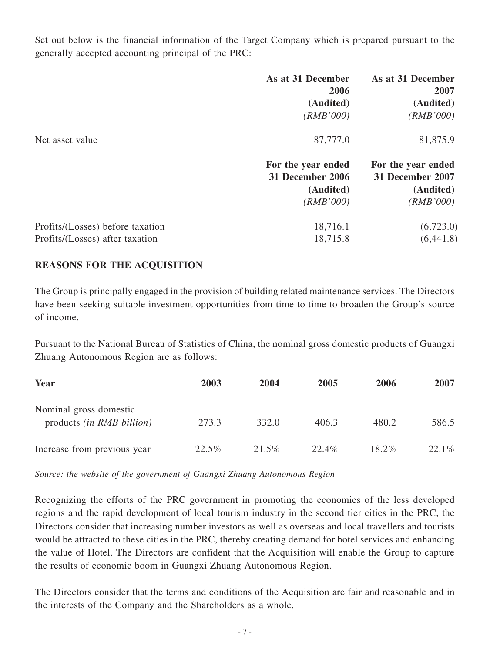Set out below is the financial information of the Target Company which is prepared pursuant to the generally accepted accounting principal of the PRC:

|                                  | As at 31 December<br>2006              | As at 31 December<br>2007              |
|----------------------------------|----------------------------------------|----------------------------------------|
|                                  | (Audited)                              | (Audited)                              |
|                                  | (RMB'000)                              | (RMB'000)                              |
| Net asset value                  | 87,777.0                               | 81,875.9                               |
|                                  | For the year ended<br>31 December 2006 | For the year ended<br>31 December 2007 |
|                                  | (Audited)                              | (Audited)                              |
|                                  | (RMB'000)                              | (RMB'000)                              |
| Profits/(Losses) before taxation | 18,716.1                               | (6,723.0)                              |
| Profits/(Losses) after taxation  | 18,715.8                               | (6,441.8)                              |

### **REASONS FOR THE ACQUISITION**

The Group is principally engaged in the provision of building related maintenance services. The Directors have been seeking suitable investment opportunities from time to time to broaden the Group's source of income.

Pursuant to the National Bureau of Statistics of China, the nominal gross domestic products of Guangxi Zhuang Autonomous Region are as follows:

| Year                                                       | 2003  | 2004     | 2005  | 2006     | 2007  |
|------------------------------------------------------------|-------|----------|-------|----------|-------|
| Nominal gross domestic<br>products <i>(in RMB billion)</i> | 273.3 | 332.0    | 406.3 | 480.2    | 586.5 |
| Increase from previous year                                | 22.5% | $21.5\%$ | 22.4% | $18.2\%$ | 22.1% |

*Source: the website of the government of Guangxi Zhuang Autonomous Region*

Recognizing the efforts of the PRC government in promoting the economies of the less developed regions and the rapid development of local tourism industry in the second tier cities in the PRC, the Directors consider that increasing number investors as well as overseas and local travellers and tourists would be attracted to these cities in the PRC, thereby creating demand for hotel services and enhancing the value of Hotel. The Directors are confident that the Acquisition will enable the Group to capture the results of economic boom in Guangxi Zhuang Autonomous Region.

The Directors consider that the terms and conditions of the Acquisition are fair and reasonable and in the interests of the Company and the Shareholders as a whole.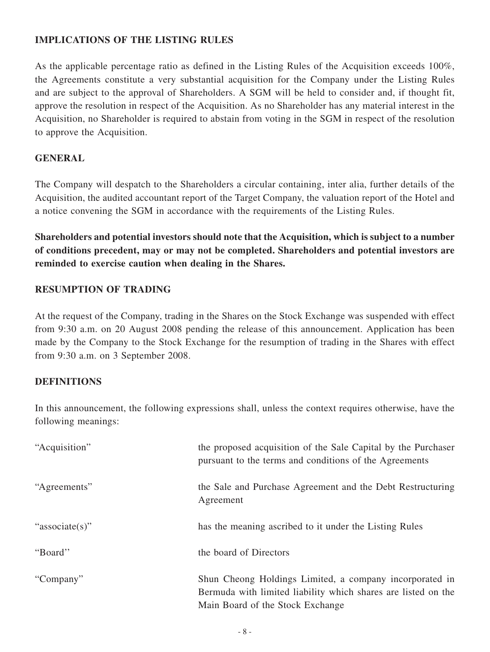## **IMPLICATIONS OF THE LISTING RULES**

As the applicable percentage ratio as defined in the Listing Rules of the Acquisition exceeds 100%, the Agreements constitute a very substantial acquisition for the Company under the Listing Rules and are subject to the approval of Shareholders. A SGM will be held to consider and, if thought fit, approve the resolution in respect of the Acquisition. As no Shareholder has any material interest in the Acquisition, no Shareholder is required to abstain from voting in the SGM in respect of the resolution to approve the Acquisition.

## **GENERAL**

The Company will despatch to the Shareholders a circular containing, inter alia, further details of the Acquisition, the audited accountant report of the Target Company, the valuation report of the Hotel and a notice convening the SGM in accordance with the requirements of the Listing Rules.

**Shareholders and potential investors should note that the Acquisition, which is subject to a number of conditions precedent, may or may not be completed. Shareholders and potential investors are reminded to exercise caution when dealing in the Shares.**

### **RESUMPTION OF TRADING**

At the request of the Company, trading in the Shares on the Stock Exchange was suspended with effect from 9:30 a.m. on 20 August 2008 pending the release of this announcement. Application has been made by the Company to the Stock Exchange for the resumption of trading in the Shares with effect from 9:30 a.m. on 3 September 2008.

### **DEFINITIONS**

In this announcement, the following expressions shall, unless the context requires otherwise, have the following meanings:

| "Acquisition"  | the proposed acquisition of the Sale Capital by the Purchaser<br>pursuant to the terms and conditions of the Agreements                                      |
|----------------|--------------------------------------------------------------------------------------------------------------------------------------------------------------|
| "Agreements"   | the Sale and Purchase Agreement and the Debt Restructuring<br>Agreement                                                                                      |
| "associate(s)" | has the meaning ascribed to it under the Listing Rules                                                                                                       |
| "Board"        | the board of Directors                                                                                                                                       |
| "Company"      | Shun Cheong Holdings Limited, a company incorporated in<br>Bermuda with limited liability which shares are listed on the<br>Main Board of the Stock Exchange |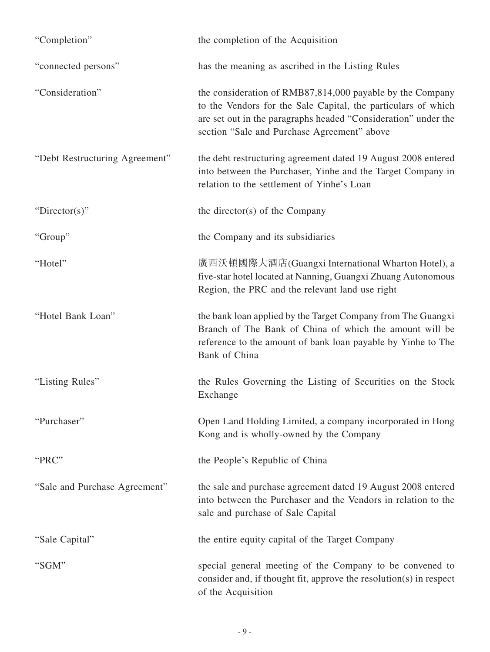| "Completion"                   | the completion of the Acquisition                                                                                                                                                                                                           |
|--------------------------------|---------------------------------------------------------------------------------------------------------------------------------------------------------------------------------------------------------------------------------------------|
| "connected persons"            | has the meaning as ascribed in the Listing Rules                                                                                                                                                                                            |
| "Consideration"                | the consideration of RMB87,814,000 payable by the Company<br>to the Vendors for the Sale Capital, the particulars of which<br>are set out in the paragraphs headed "Consideration" under the<br>section "Sale and Purchase Agreement" above |
| "Debt Restructuring Agreement" | the debt restructuring agreement dated 19 August 2008 entered<br>into between the Purchaser, Yinhe and the Target Company in<br>relation to the settlement of Yinhe's Loan                                                                  |
| "Director(s)"                  | the director(s) of the Company                                                                                                                                                                                                              |
| "Group"                        | the Company and its subsidiaries                                                                                                                                                                                                            |
| "Hotel"                        | 廣西沃頓國際大酒店(Guangxi International Wharton Hotel), a<br>five-star hotel located at Nanning, Guangxi Zhuang Autonomous<br>Region, the PRC and the relevant land use right                                                                       |
| "Hotel Bank Loan"              | the bank loan applied by the Target Company from The Guangxi<br>Branch of The Bank of China of which the amount will be<br>reference to the amount of bank loan payable by Yinhe to The<br>Bank of China                                    |
| "Listing Rules"                | the Rules Governing the Listing of Securities on the Stock<br>Exchange                                                                                                                                                                      |
| "Purchaser"                    | Open Land Holding Limited, a company incorporated in Hong<br>Kong and is wholly-owned by the Company                                                                                                                                        |
| "PRC"                          | the People's Republic of China                                                                                                                                                                                                              |
| "Sale and Purchase Agreement"  | the sale and purchase agreement dated 19 August 2008 entered<br>into between the Purchaser and the Vendors in relation to the<br>sale and purchase of Sale Capital                                                                          |
| "Sale Capital"                 | the entire equity capital of the Target Company                                                                                                                                                                                             |
| "SGM"                          | special general meeting of the Company to be convened to<br>consider and, if thought fit, approve the resolution(s) in respect<br>of the Acquisition                                                                                        |